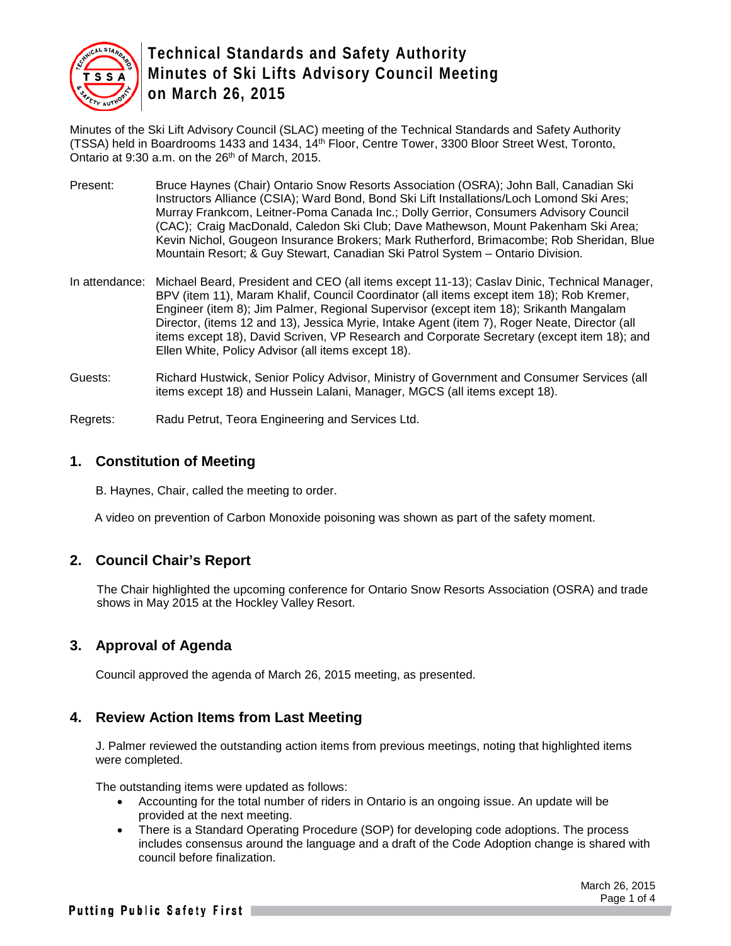

Minutes of the Ski Lift Advisory Council (SLAC) meeting of the Technical Standards and Safety Authority (TSSA) held in Boardrooms 1433 and 1434, 14<sup>th</sup> Floor, Centre Tower, 3300 Bloor Street West, Toronto, Ontario at 9:30 a.m. on the 26<sup>th</sup> of March, 2015.

- Present: Bruce Haynes (Chair) Ontario Snow Resorts Association (OSRA); John Ball, Canadian Ski Instructors Alliance (CSIA); Ward Bond, Bond Ski Lift Installations/Loch Lomond Ski Ares; Murray Frankcom, Leitner-Poma Canada Inc.; Dolly Gerrior, Consumers Advisory Council (CAC); Craig MacDonald, Caledon Ski Club; Dave Mathewson, Mount Pakenham Ski Area; Kevin Nichol, Gougeon Insurance Brokers; Mark Rutherford, Brimacombe; Rob Sheridan, Blue Mountain Resort; & Guy Stewart, Canadian Ski Patrol System – Ontario Division.
- In attendance: Michael Beard, President and CEO (all items except 11-13); Caslav Dinic, Technical Manager, BPV (item 11), Maram Khalif, Council Coordinator (all items except item 18); Rob Kremer, Engineer (item 8); Jim Palmer, Regional Supervisor (except item 18); Srikanth Mangalam Director, (items 12 and 13), Jessica Myrie, Intake Agent (item 7), Roger Neate, Director (all items except 18), David Scriven, VP Research and Corporate Secretary (except item 18); and Ellen White, Policy Advisor (all items except 18).
- Guests: Richard Hustwick, Senior Policy Advisor, Ministry of Government and Consumer Services (all items except 18) and Hussein Lalani, Manager, MGCS (all items except 18).

Regrets: Radu Petrut, Teora Engineering and Services Ltd.

#### **1. Constitution of Meeting**

B. Haynes, Chair, called the meeting to order.

A video on prevention of Carbon Monoxide poisoning was shown as part of the safety moment.

## **2. Council Chair's Report**

The Chair highlighted the upcoming conference for Ontario Snow Resorts Association (OSRA) and trade shows in May 2015 at the Hockley Valley Resort.

## **3. Approval of Agenda**

Council approved the agenda of March 26, 2015 meeting, as presented.

#### **4. Review Action Items from Last Meeting**

J. Palmer reviewed the outstanding action items from previous meetings, noting that highlighted items were completed.

The outstanding items were updated as follows:

- Accounting for the total number of riders in Ontario is an ongoing issue. An update will be provided at the next meeting.
- There is a Standard Operating Procedure (SOP) for developing code adoptions. The process includes consensus around the language and a draft of the Code Adoption change is shared with council before finalization.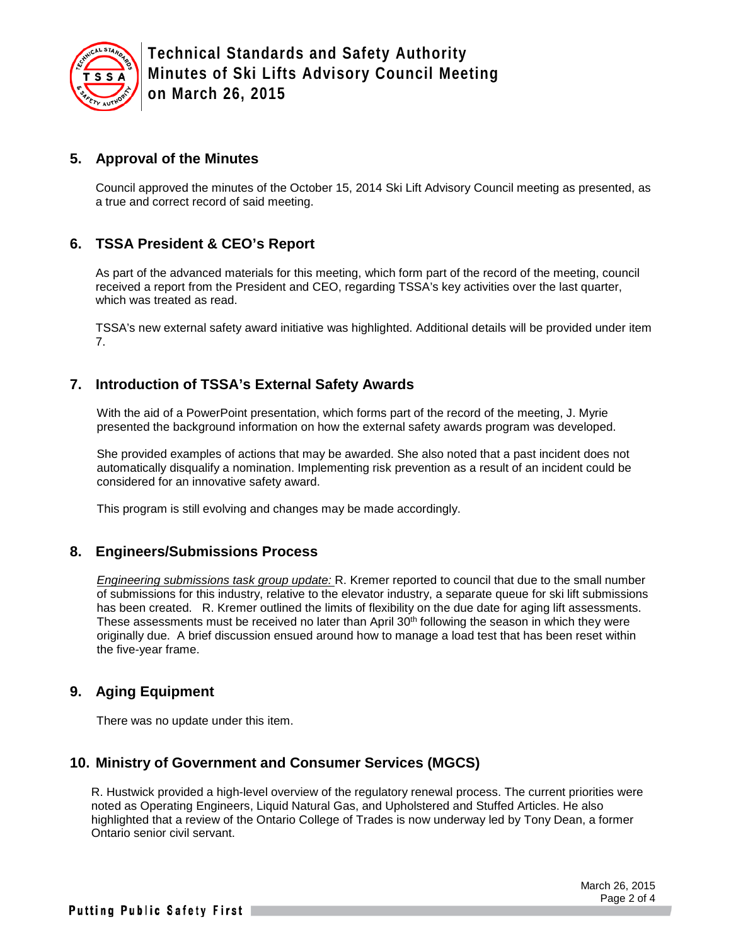

#### **5. Approval of the Minutes**

Council approved the minutes of the October 15, 2014 Ski Lift Advisory Council meeting as presented, as a true and correct record of said meeting.

## **6. TSSA President & CEO's Report**

As part of the advanced materials for this meeting, which form part of the record of the meeting, council received a report from the President and CEO, regarding TSSA's key activities over the last quarter, which was treated as read.

TSSA's new external safety award initiative was highlighted. Additional details will be provided under item 7.

## **7. Introduction of TSSA's External Safety Awards**

With the aid of a PowerPoint presentation, which forms part of the record of the meeting, J. Myrie presented the background information on how the external safety awards program was developed.

She provided examples of actions that may be awarded. She also noted that a past incident does not automatically disqualify a nomination. Implementing risk prevention as a result of an incident could be considered for an innovative safety award.

This program is still evolving and changes may be made accordingly.

#### **8. Engineers/Submissions Process**

*Engineering submissions task group update:* R. Kremer reported to council that due to the small number of submissions for this industry, relative to the elevator industry, a separate queue for ski lift submissions has been created. R. Kremer outlined the limits of flexibility on the due date for aging lift assessments. These assessments must be received no later than April 30th following the season in which they were originally due. A brief discussion ensued around how to manage a load test that has been reset within the five-year frame.

## **9. Aging Equipment**

There was no update under this item.

## **10. Ministry of Government and Consumer Services (MGCS)**

R. Hustwick provided a high-level overview of the regulatory renewal process. The current priorities were noted as Operating Engineers, Liquid Natural Gas, and Upholstered and Stuffed Articles. He also highlighted that a review of the Ontario College of Trades is now underway led by Tony Dean, a former Ontario senior civil servant.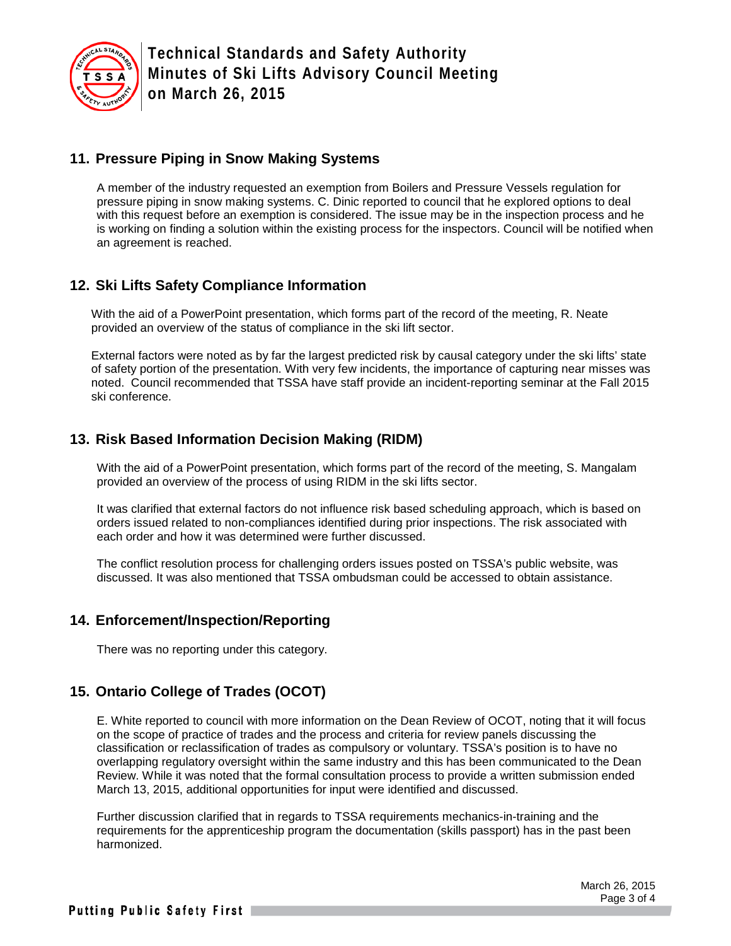

#### **11. Pressure Piping in Snow Making Systems**

A member of the industry requested an exemption from Boilers and Pressure Vessels regulation for pressure piping in snow making systems. C. Dinic reported to council that he explored options to deal with this request before an exemption is considered. The issue may be in the inspection process and he is working on finding a solution within the existing process for the inspectors. Council will be notified when an agreement is reached.

## **12. Ski Lifts Safety Compliance Information**

With the aid of a PowerPoint presentation, which forms part of the record of the meeting, R. Neate provided an overview of the status of compliance in the ski lift sector.

External factors were noted as by far the largest predicted risk by causal category under the ski lifts' state of safety portion of the presentation. With very few incidents, the importance of capturing near misses was noted. Council recommended that TSSA have staff provide an incident-reporting seminar at the Fall 2015 ski conference.

## **13. Risk Based Information Decision Making (RIDM)**

With the aid of a PowerPoint presentation, which forms part of the record of the meeting, S. Mangalam provided an overview of the process of using RIDM in the ski lifts sector.

It was clarified that external factors do not influence risk based scheduling approach, which is based on orders issued related to non-compliances identified during prior inspections. The risk associated with each order and how it was determined were further discussed.

The conflict resolution process for challenging orders issues posted on TSSA's public website, was discussed. It was also mentioned that TSSA ombudsman could be accessed to obtain assistance.

#### **14. Enforcement/Inspection/Reporting**

There was no reporting under this category.

## **15. Ontario College of Trades (OCOT)**

E. White reported to council with more information on the Dean Review of OCOT, noting that it will focus on the scope of practice of trades and the process and criteria for review panels discussing the classification or reclassification of trades as compulsory or voluntary. TSSA's position is to have no overlapping regulatory oversight within the same industry and this has been communicated to the Dean Review. While it was noted that the formal consultation process to provide a written submission ended March 13, 2015, additional opportunities for input were identified and discussed.

Further discussion clarified that in regards to TSSA requirements mechanics-in-training and the requirements for the apprenticeship program the documentation (skills passport) has in the past been harmonized.